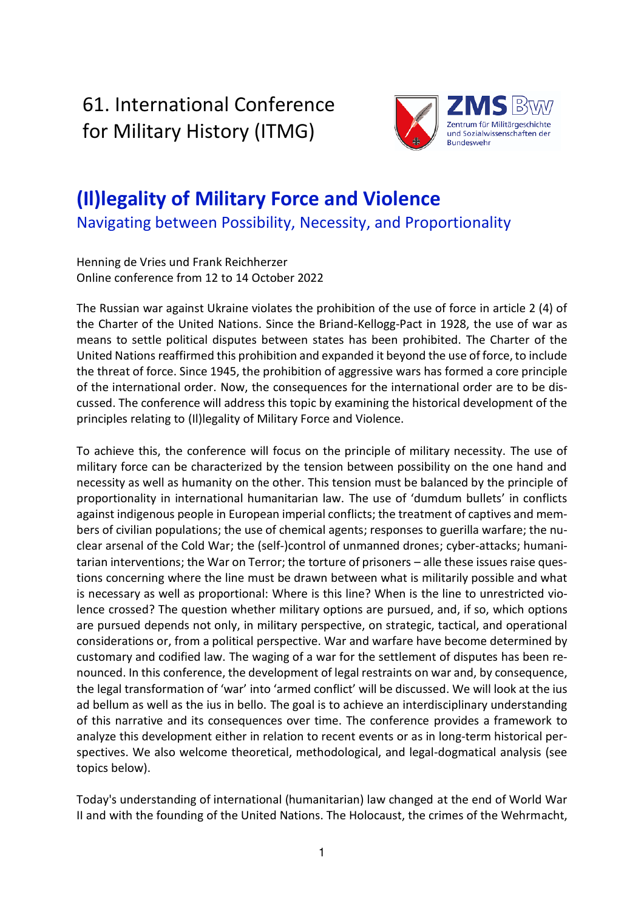61. International Conference for Military History (ITMG)



# **(Il)legality of Military Force and Violence**

Navigating between Possibility, Necessity, and Proportionality

Henning de Vries und Frank Reichherzer Online conference from 12 to 14 October 2022

The Russian war against Ukraine violates the prohibition of the use of force in article 2 (4) of the Charter of the United Nations. Since the Briand-Kellogg-Pact in 1928, the use of war as means to settle political disputes between states has been prohibited. The Charter of the United Nations reaffirmed this prohibition and expanded it beyond the use of force, to include the threat of force. Since 1945, the prohibition of aggressive wars has formed a core principle of the international order. Now, the consequences for the international order are to be discussed. The conference will address this topic by examining the historical development of the principles relating to (Il)legality of Military Force and Violence.

To achieve this, the conference will focus on the principle of military necessity. The use of military force can be characterized by the tension between possibility on the one hand and necessity as well as humanity on the other. This tension must be balanced by the principle of proportionality in international humanitarian law. The use of 'dumdum bullets' in conflicts against indigenous people in European imperial conflicts; the treatment of captives and members of civilian populations; the use of chemical agents; responses to guerilla warfare; the nuclear arsenal of the Cold War; the (self-)control of unmanned drones; cyber-attacks; humanitarian interventions; the War on Terror; the torture of prisoners – alle these issues raise questions concerning where the line must be drawn between what is militarily possible and what is necessary as well as proportional: Where is this line? When is the line to unrestricted violence crossed? The question whether military options are pursued, and, if so, which options are pursued depends not only, in military perspective, on strategic, tactical, and operational considerations or, from a political perspective. War and warfare have become determined by customary and codified law. The waging of a war for the settlement of disputes has been renounced. In this conference, the development of legal restraints on war and, by consequence, the legal transformation of 'war' into 'armed conflict' will be discussed. We will look at the ius ad bellum as well as the ius in bello. The goal is to achieve an interdisciplinary understanding of this narrative and its consequences over time. The conference provides a framework to analyze this development either in relation to recent events or as in long-term historical perspectives. We also welcome theoretical, methodological, and legal-dogmatical analysis (see topics below).

Today's understanding of international (humanitarian) law changed at the end of World War II and with the founding of the United Nations. The Holocaust, the crimes of the Wehrmacht,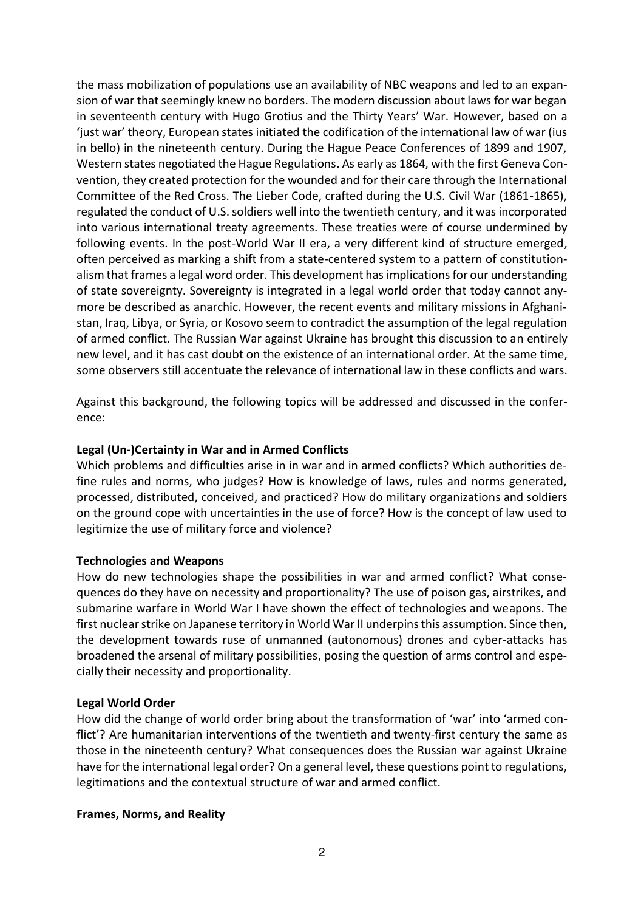the mass mobilization of populations use an availability of NBC weapons and led to an expansion of war that seemingly knew no borders. The modern discussion about laws for war began in seventeenth century with Hugo Grotius and the Thirty Years' War. However, based on a 'just war' theory, European states initiated the codification of the international law of war (ius in bello) in the nineteenth century. During the Hague Peace Conferences of 1899 and 1907, Western states negotiated the Hague Regulations. As early as 1864, with the first Geneva Convention, they created protection for the wounded and for their care through the International Committee of the Red Cross. The Lieber Code, crafted during the U.S. Civil War (1861-1865), regulated the conduct of U.S. soldiers well into the twentieth century, and it was incorporated into various international treaty agreements. These treaties were of course undermined by following events. In the post-World War II era, a very different kind of structure emerged, often perceived as marking a shift from a state-centered system to a pattern of constitutionalism that frames a legal word order. This development has implications for our understanding of state sovereignty. Sovereignty is integrated in a legal world order that today cannot anymore be described as anarchic. However, the recent events and military missions in Afghanistan, Iraq, Libya, or Syria, or Kosovo seem to contradict the assumption of the legal regulation of armed conflict. The Russian War against Ukraine has brought this discussion to an entirely new level, and it has cast doubt on the existence of an international order. At the same time, some observers still accentuate the relevance of international law in these conflicts and wars.

Against this background, the following topics will be addressed and discussed in the conference:

## **Legal (Un-)Certainty in War and in Armed Conflicts**

Which problems and difficulties arise in in war and in armed conflicts? Which authorities define rules and norms, who judges? How is knowledge of laws, rules and norms generated, processed, distributed, conceived, and practiced? How do military organizations and soldiers on the ground cope with uncertainties in the use of force? How is the concept of law used to legitimize the use of military force and violence?

#### **Technologies and Weapons**

How do new technologies shape the possibilities in war and armed conflict? What consequences do they have on necessity and proportionality? The use of poison gas, airstrikes, and submarine warfare in World War I have shown the effect of technologies and weapons. The first nuclear strike on Japanese territory in World War II underpins this assumption. Since then, the development towards ruse of unmanned (autonomous) drones and cyber-attacks has broadened the arsenal of military possibilities, posing the question of arms control and especially their necessity and proportionality.

#### **Legal World Order**

How did the change of world order bring about the transformation of 'war' into 'armed conflict'? Are humanitarian interventions of the twentieth and twenty-first century the same as those in the nineteenth century? What consequences does the Russian war against Ukraine have for the international legal order? On a general level, these questions point to regulations, legitimations and the contextual structure of war and armed conflict.

#### **Frames, Norms, and Reality**